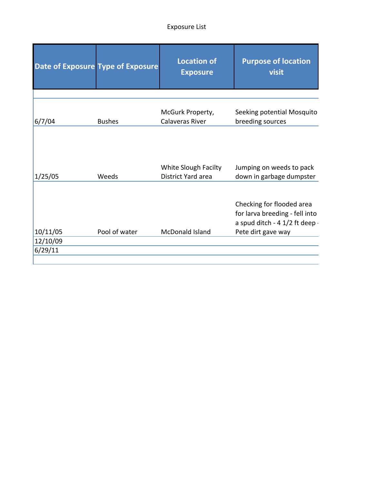|          | Date of Exposure Type of Exposure | <b>Location of</b><br><b>Exposure</b>      | <b>Purpose of location</b><br>visit                                                         |
|----------|-----------------------------------|--------------------------------------------|---------------------------------------------------------------------------------------------|
|          |                                   |                                            |                                                                                             |
| 6/7/04   | <b>Bushes</b>                     | McGurk Property,<br><b>Calaveras River</b> | Seeking potential Mosquito<br>breeding sources                                              |
| 1/25/05  | Weeds                             | White Slough Facilty<br>District Yard area | Jumping on weeds to pack<br>down in garbage dumpster                                        |
|          |                                   |                                            | Checking for flooded area<br>for larva breeding - fell into<br>a spud ditch - 4 1/2 ft deep |
| 10/11/05 | Pool of water                     | McDonald Island                            | Pete dirt gave way                                                                          |
| 12/10/09 |                                   |                                            |                                                                                             |
|          |                                   |                                            |                                                                                             |
| 6/29/11  |                                   |                                            |                                                                                             |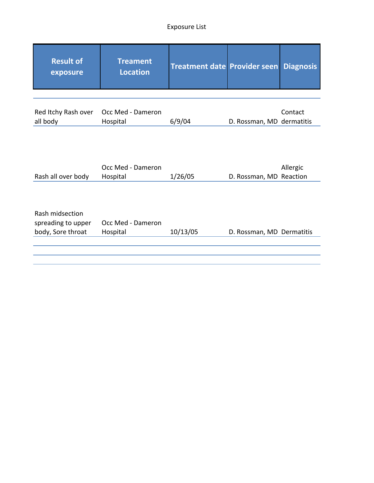| <b>Treament</b><br><b>Location</b> |                               |          | <b>Diagnosis</b>                                                                                                         |
|------------------------------------|-------------------------------|----------|--------------------------------------------------------------------------------------------------------------------------|
|                                    |                               |          |                                                                                                                          |
| Occ Med - Dameron<br>Hospital      | 6/9/04                        |          | Contact                                                                                                                  |
|                                    |                               |          |                                                                                                                          |
|                                    |                               |          |                                                                                                                          |
|                                    |                               |          | Allergic                                                                                                                 |
| Hospital                           | 1/26/05                       |          |                                                                                                                          |
|                                    |                               |          |                                                                                                                          |
|                                    |                               |          |                                                                                                                          |
|                                    |                               |          |                                                                                                                          |
| Occ Med - Dameron                  |                               |          |                                                                                                                          |
|                                    |                               |          |                                                                                                                          |
|                                    |                               |          |                                                                                                                          |
|                                    |                               |          |                                                                                                                          |
|                                    | Occ Med - Dameron<br>Hospital | 10/13/05 | <b>Treatment date Provider seen</b><br>D. Rossman, MD dermatitis<br>D. Rossman, MD Reaction<br>D. Rossman, MD Dermatitis |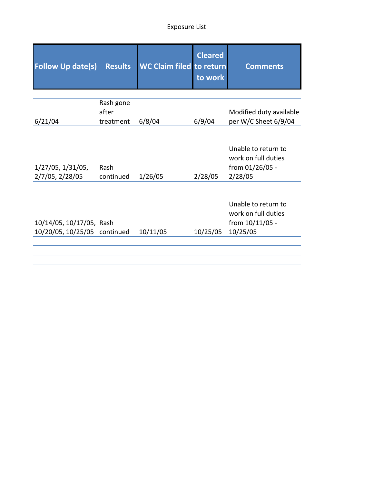| <b>Follow Up date(s)</b>                                 | <b>Results</b>     | <b>WC Claim filed to return</b> | <b>Cleared</b><br>to work | <b>Comments</b>                                                             |
|----------------------------------------------------------|--------------------|---------------------------------|---------------------------|-----------------------------------------------------------------------------|
|                                                          |                    |                                 |                           |                                                                             |
|                                                          | Rash gone<br>after |                                 |                           | Modified duty available                                                     |
| 6/21/04                                                  | treatment          | 6/8/04                          | 6/9/04                    | per W/C Sheet 6/9/04                                                        |
| $1/27/05$ , $1/31/05$ ,<br>2/7/05, 2/28/05               | Rash<br>continued  | 1/26/05                         | 2/28/05                   | Unable to return to<br>work on full duties<br>from 01/26/05 -<br>2/28/05    |
| 10/14/05, 10/17/05, Rash<br>10/20/05, 10/25/05 continued |                    | 10/11/05                        | 10/25/05                  | Unable to return to<br>work on full duties<br>from $10/11/05$ -<br>10/25/05 |
|                                                          |                    |                                 |                           |                                                                             |